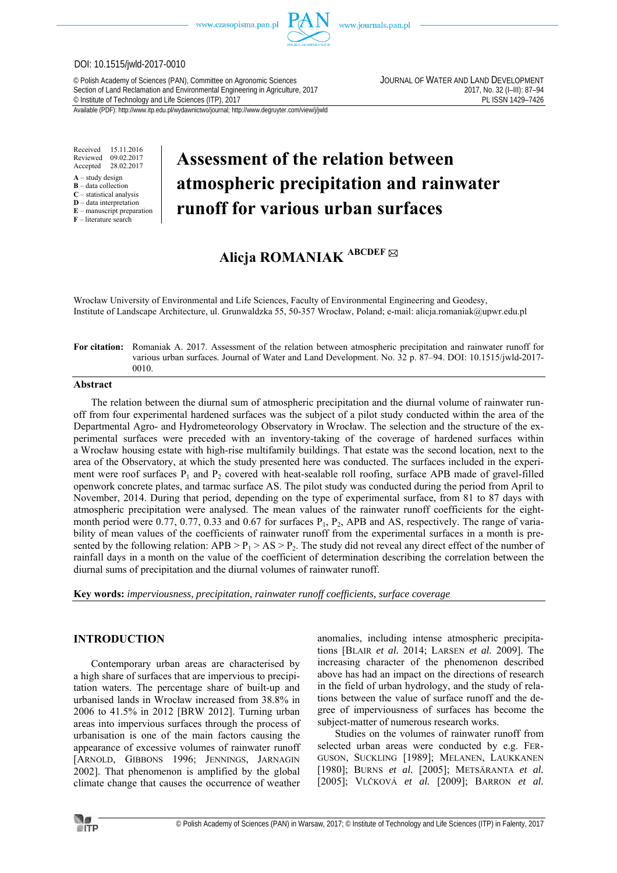

www.journals.pan.pl

#### DOI: 10.1515/jwld-2017-0010

© Polish Academy of Sciences (PAN), Committee on Agronomic Sciences JOURNAL OF WATER AND LAND DEVELOPMENT Section of Land Reclamation and Environmental Engineering in Agriculture, 2017 2017, No. 32 (I–III): 87–94<br>Example 199-7426 PL ISSN 1429-7426 2017, No. 32 (I–III): 87–94 <sup>©</sup> Institute of Technology and Life Sciences (ITP), 2017

Available (PDF): http://www.itp.edu.pl/wydawnictwo/journal; http://www.degruyter.com/view/j/jwld

Received 15.11.2016 Reviewed 09.02.2017<br>Accepted 28.02.2017 28.02.2017

- $A -$ study design
- **B** data collection **C** – statistical analysis
- **D** data interpretation
- **E** manuscript preparation
- **F** literature search

# **Assessment of the relation between atmospheric precipitation and rainwater runoff for various urban surfaces**

## **Alicja ROMANIAK ABCDEF**

Wrocław University of Environmental and Life Sciences, Faculty of Environmental Engineering and Geodesy, Institute of Landscape Architecture, ul. Grunwaldzka 55, 50-357 Wrocław, Poland; e-mail: alicja.romaniak@upwr.edu.pl

#### **For citation:** Romaniak A. 2017. Assessment of the relation between atmospheric precipitation and rainwater runoff for various urban surfaces. Journal of Water and Land Development. No. 32 p. 87–94. DOI: 10.1515/jwld-2017- 0010.

#### **Abstract**

The relation between the diurnal sum of atmospheric precipitation and the diurnal volume of rainwater runoff from four experimental hardened surfaces was the subject of a pilot study conducted within the area of the Departmental Agro- and Hydrometeorology Observatory in Wrocław. The selection and the structure of the experimental surfaces were preceded with an inventory-taking of the coverage of hardened surfaces within a Wrocław housing estate with high-rise multifamily buildings. That estate was the second location, next to the area of the Observatory, at which the study presented here was conducted. The surfaces included in the experiment were roof surfaces  $P_1$  and  $P_2$  covered with heat-sealable roll roofing, surface APB made of gravel-filled openwork concrete plates, and tarmac surface AS. The pilot study was conducted during the period from April to November, 2014. During that period, depending on the type of experimental surface, from 81 to 87 days with atmospheric precipitation were analysed. The mean values of the rainwater runoff coefficients for the eightmonth period were 0.77, 0.77, 0.33 and 0.67 for surfaces  $P_1$ ,  $P_2$ , APB and AS, respectively. The range of variability of mean values of the coefficients of rainwater runoff from the experimental surfaces in a month is presented by the following relation:  $APB > P_1 > AS > P_2$ . The study did not reveal any direct effect of the number of rainfall days in a month on the value of the coefficient of determination describing the correlation between the diurnal sums of precipitation and the diurnal volumes of rainwater runoff.

**Key words:** *imperviousness, precipitation, rainwater runoff coefficients, surface coverage* 

#### **INTRODUCTION**

Contemporary urban areas are characterised by a high share of surfaces that are impervious to precipitation waters. The percentage share of built-up and urbanised lands in Wrocław increased from 38.8% in 2006 to 41.5% in 2012 [BRW 2012]. Turning urban areas into impervious surfaces through the process of urbanisation is one of the main factors causing the appearance of excessive volumes of rainwater runoff [ARNOLD, GIBBONS 1996; JENNINGS, JARNAGIN 2002]. That phenomenon is amplified by the global climate change that causes the occurrence of weather

anomalies, including intense atmospheric precipitations [BLAIR *et al.* 2014; LARSEN *et al.* 2009]. The increasing character of the phenomenon described above has had an impact on the directions of research in the field of urban hydrology, and the study of relations between the value of surface runoff and the degree of imperviousness of surfaces has become the subject-matter of numerous research works.

Studies on the volumes of rainwater runoff from selected urban areas were conducted by e.g. FER-GUSON, SUCKLING [1989]; MELANEN, LAUKKANEN [1980]; BURNS *et al.* [2005]; METSÄRANTA *et al.* [2005]; VLČKOVÁ *et al.* [2009]; BARRON *et al.*

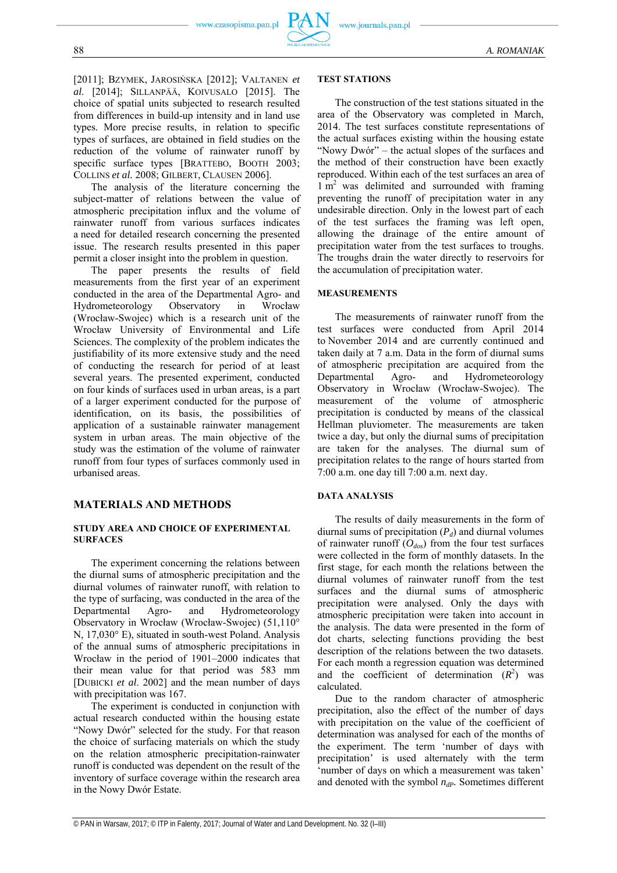

The analysis of the literature concerning the subject-matter of relations between the value of atmospheric precipitation influx and the volume of rainwater runoff from various surfaces indicates a need for detailed research concerning the presented issue. The research results presented in this paper permit a closer insight into the problem in question.

The paper presents the results of field measurements from the first year of an experiment conducted in the area of the Departmental Agro- and Hydrometeorology Observatory in Wrocław (Wrocław-Swojec) which is a research unit of the Wrocław University of Environmental and Life Sciences. The complexity of the problem indicates the justifiability of its more extensive study and the need of conducting the research for period of at least several years. The presented experiment, conducted on four kinds of surfaces used in urban areas, is a part of a larger experiment conducted for the purpose of identification, on its basis, the possibilities of application of a sustainable rainwater management system in urban areas. The main objective of the study was the estimation of the volume of rainwater runoff from four types of surfaces commonly used in urbanised areas.

### **MATERIALS AND METHODS**

#### **STUDY AREA AND CHOICE OF EXPERIMENTAL SURFACES**

The experiment concerning the relations between the diurnal sums of atmospheric precipitation and the diurnal volumes of rainwater runoff, with relation to the type of surfacing, was conducted in the area of the Departmental Agro- and Hydrometeorology Observatory in Wrocław (Wrocław-Swojec) (51,110° N, 17,030° E), situated in south-west Poland. Analysis of the annual sums of atmospheric precipitations in Wrocław in the period of 1901–2000 indicates that their mean value for that period was 583 mm [DUBICKI *et al*. 2002] and the mean number of days with precipitation was 167.

The experiment is conducted in conjunction with actual research conducted within the housing estate "Nowy Dwór" selected for the study. For that reason the choice of surfacing materials on which the study on the relation atmospheric precipitation-rainwater runoff is conducted was dependent on the result of the inventory of surface coverage within the research area in the Nowy Dwór Estate.

#### **TEST STATIONS**

The construction of the test stations situated in the area of the Observatory was completed in March, 2014. The test surfaces constitute representations of the actual surfaces existing within the housing estate "Nowy Dwór" – the actual slopes of the surfaces and the method of their construction have been exactly reproduced. Within each of the test surfaces an area of  $1 \text{ m}^2$  was delimited and surrounded with framing preventing the runoff of precipitation water in any undesirable direction. Only in the lowest part of each of the test surfaces the framing was left open, allowing the drainage of the entire amount of precipitation water from the test surfaces to troughs. The troughs drain the water directly to reservoirs for the accumulation of precipitation water.

#### **MEASUREMENTS**

The measurements of rainwater runoff from the test surfaces were conducted from April 2014 to November 2014 and are currently continued and taken daily at 7 a.m. Data in the form of diurnal sums of atmospheric precipitation are acquired from the Departmental Agro- and Hydrometeorology Observatory in Wrocław (Wrocław-Swojec). The measurement of the volume of atmospheric precipitation is conducted by means of the classical Hellman pluviometer. The measurements are taken twice a day, but only the diurnal sums of precipitation are taken for the analyses. The diurnal sum of precipitation relates to the range of hours started from 7:00 a.m. one day till 7:00 a.m. next day.

#### **DATA ANALYSIS**

The results of daily measurements in the form of diurnal sums of precipitation  $(P_d)$  and diurnal volumes of rainwater runoff  $(O_{dos})$  from the four test surfaces were collected in the form of monthly datasets. In the first stage, for each month the relations between the diurnal volumes of rainwater runoff from the test surfaces and the diurnal sums of atmospheric precipitation were analysed. Only the days with atmospheric precipitation were taken into account in the analysis. The data were presented in the form of dot charts, selecting functions providing the best description of the relations between the two datasets. For each month a regression equation was determined and the coefficient of determination  $(R^2)$  was calculated.

Due to the random character of atmospheric precipitation, also the effect of the number of days with precipitation on the value of the coefficient of determination was analysed for each of the months of the experiment. The term 'number of days with precipitation' is used alternately with the term 'number of days on which a measurement was taken' and denoted with the symbol  $n_{dp}$ . Sometimes different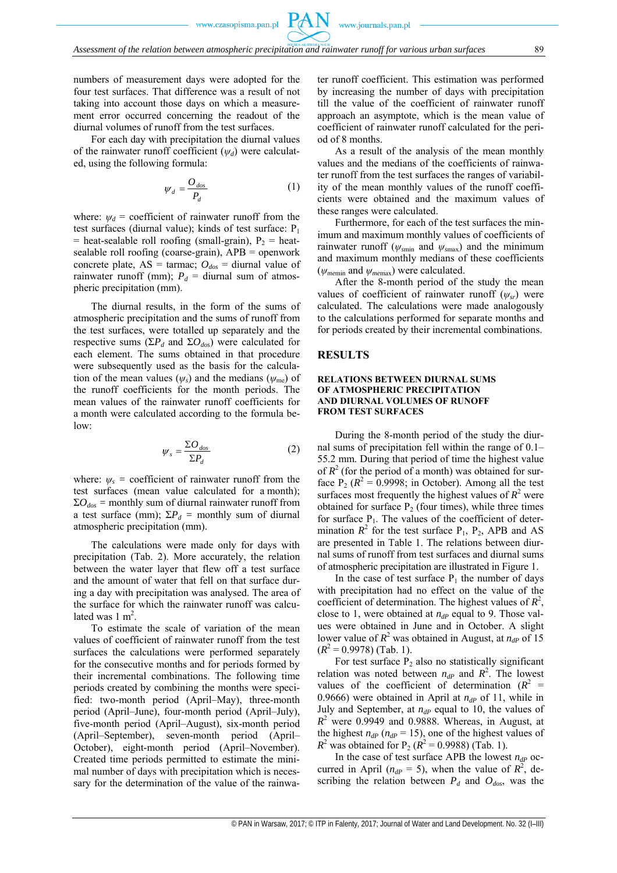numbers of measurement days were adopted for the four test surfaces. That difference was a result of not taking into account those days on which a measurement error occurred concerning the readout of the diurnal volumes of runoff from the test surfaces.

For each day with precipitation the diurnal values of the rainwater runoff coefficient (*ψd*) were calculated, using the following formula:

$$
\psi_d = \frac{O_{dos}}{P_d} \tag{1}
$$

where:  $\psi_d$  = coefficient of rainwater runoff from the test surfaces (diurnal value); kinds of test surface:  $P_1$ = heat-sealable roll roofing (small-grain),  $P_2$  = heatsealable roll roofing (coarse-grain), APB = openwork concrete plate,  $AS = \text{tarmac}$ ;  $O_{dos} = \text{diurnal value of}$ rainwater runoff (mm);  $P_d$  = diurnal sum of atmospheric precipitation (mm).

The diurnal results, in the form of the sums of atmospheric precipitation and the sums of runoff from the test surfaces, were totalled up separately and the respective sums ( $\Sigma P_d$  and  $\Sigma O_{dos}$ ) were calculated for each element. The sums obtained in that procedure were subsequently used as the basis for the calculation of the mean values  $(\psi_s)$  and the medians  $(\psi_{me})$  of the runoff coefficients for the month periods. The mean values of the rainwater runoff coefficients for a month were calculated according to the formula below:

$$
\psi_s = \frac{\Sigma O_{\text{dos}}}{\Sigma P_d} \tag{2}
$$

where:  $\psi_s$  = coefficient of rainwater runoff from the test surfaces (mean value calculated for a month);  $\Sigma O_{dos}$  = monthly sum of diurnal rainwater runoff from a test surface (mm);  $\Sigma P_d$  = monthly sum of diurnal atmospheric precipitation (mm).

The calculations were made only for days with precipitation (Tab. 2). More accurately, the relation between the water layer that flew off a test surface and the amount of water that fell on that surface during a day with precipitation was analysed. The area of the surface for which the rainwater runoff was calculated was  $1 \text{ m}^2$ .

To estimate the scale of variation of the mean values of coefficient of rainwater runoff from the test surfaces the calculations were performed separately for the consecutive months and for periods formed by their incremental combinations. The following time periods created by combining the months were specified: two-month period (April–May), three-month period (April–June), four-month period (April–July), five-month period (April–August), six-month period (April–September), seven-month period (April– October), eight-month period (April–November). Created time periods permitted to estimate the minimal number of days with precipitation which is necessary for the determination of the value of the rainwater runoff coefficient. This estimation was performed by increasing the number of days with precipitation till the value of the coefficient of rainwater runoff approach an asymptote, which is the mean value of coefficient of rainwater runoff calculated for the period of 8 months.

As a result of the analysis of the mean monthly values and the medians of the coefficients of rainwater runoff from the test surfaces the ranges of variability of the mean monthly values of the runoff coefficients were obtained and the maximum values of these ranges were calculated.

Furthermore, for each of the test surfaces the minimum and maximum monthly values of coefficients of rainwater runoff ( $\psi_{\text{smin}}$  and  $\psi_{\text{smax}}$ ) and the minimum and maximum monthly medians of these coefficients (*ψme*min and *ψme*max) were calculated.

After the 8-month period of the study the mean values of coefficient of rainwater runoff (*ψsr*) were calculated. The calculations were made analogously to the calculations performed for separate months and for periods created by their incremental combinations.

#### **RESULTS**

#### **RELATIONS BETWEEN DIURNAL SUMS OF ATMOSPHERIC PRECIPITATION AND DIURNAL VOLUMES OF RUNOFF FROM TEST SURFACES**

During the 8-month period of the study the diurnal sums of precipitation fell within the range of 0.1– 55.2 mm. During that period of time the highest value of  $R^2$  (for the period of a month) was obtained for surface  $P_2 (R^2 = 0.9998$ ; in October). Among all the test surfaces most frequently the highest values of  $R^2$  were obtained for surface  $P<sub>2</sub>$  (four times), while three times for surface  $P_1$ . The values of the coefficient of determination  $R^2$  for the test surface  $P_1$ ,  $P_2$ , APB and AS are presented in Table 1. The relations between diurnal sums of runoff from test surfaces and diurnal sums of atmospheric precipitation are illustrated in Figure 1.

In the case of test surface  $P_1$  the number of days with precipitation had no effect on the value of the coefficient of determination. The highest values of  $R^2$ , close to 1, were obtained at  $n_{dP}$  equal to 9. Those values were obtained in June and in October. A slight lower value of  $R^2$  was obtained in August, at  $n_{dP}$  of 15  $(R^2 = 0.9978)$  (Tab. 1).

For test surface  $P_2$  also no statistically significant relation was noted between  $n_{dP}$  and  $R^2$ . The lowest values of the coefficient of determination  $(R^2 =$ 0.9666) were obtained in April at  $n_{dP}$  of 11, while in July and September, at  $n_{dP}$  equal to 10, the values of  $R^2$  were 0.9949 and 0.9888. Whereas, in August, at the highest  $n_{dP}$  ( $n_{dP}$  = 15), one of the highest values of  $R^2$  was obtained for P<sub>2</sub> ( $R^2 = 0.9988$ ) (Tab. 1).

In the case of test surface APB the lowest  $n_{dp}$  occurred in April ( $n_{dP} = 5$ ), when the value of  $R^2$ , describing the relation between  $P_d$  and  $O_{dos}$ , was the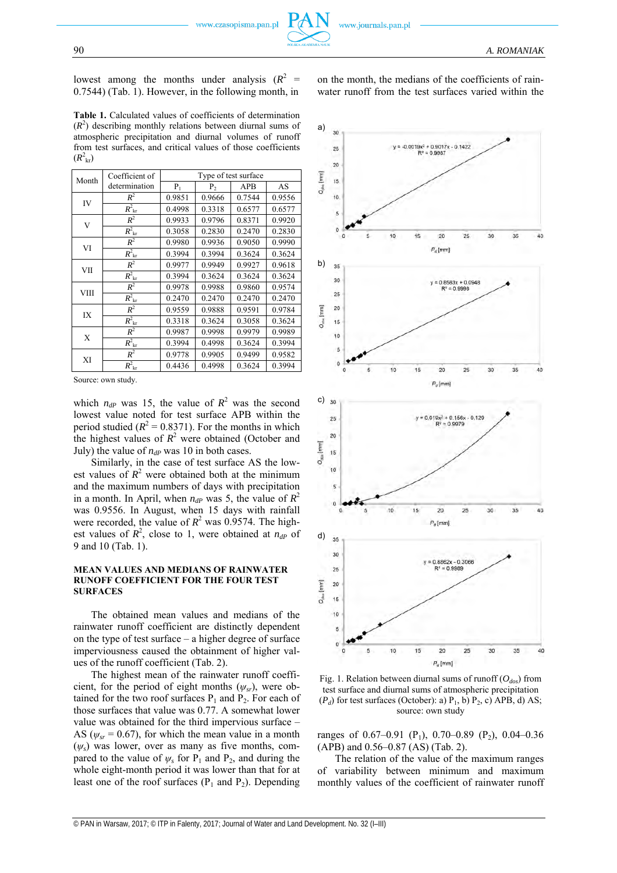lowest among the months under analysis  $(R^2 =$ 0.7544) (Tab. 1). However, in the following month, in

**Table 1.** Calculated values of coefficients of determination  $(R<sup>2</sup>)$  describing monthly relations between diurnal sums of atmospheric precipitation and diurnal volumes of runoff from test surfaces, and critical values of those coefficients  $(R^2_{\rm kr})$ 

| Month       | Coefficient of                 | Type of test surface |        |        |        |  |
|-------------|--------------------------------|----------------------|--------|--------|--------|--|
|             | determination                  | P <sub>1</sub>       | P,     | APB    | AS     |  |
| IV          | $R^2$                          | 0.9851               | 0.9666 | 0.7544 | 0.9556 |  |
|             | $R_{\rm kr}^2$                 | 0.4998               | 0.3318 | 0.6577 | 0.6577 |  |
| V           | $R^2$                          | 0.9933               | 0.9796 | 0.8371 | 0.9920 |  |
|             | $R_{\rm kr}^2$                 | 0.3058               | 0.2830 | 0.2470 | 0.2830 |  |
| VI          | $R^2$                          | 0.9980               | 0.9936 | 0.9050 | 0.9990 |  |
|             | $R^2_{\rm kr}$                 | 0.3994               | 0.3994 | 0.3624 | 0.3624 |  |
| VII         | $R^2$                          | 0.9977               | 0.9949 | 0.9927 | 0.9618 |  |
|             | $\overline{R}^2_{\rm kr}$      | 0.3994               | 0.3624 | 0.3624 | 0.3624 |  |
| <b>VIII</b> | $R^2$                          | 0.9978               | 0.9988 | 0.9860 | 0.9574 |  |
|             | $R^2_{\rm kr}$                 | 0.2470               | 0.2470 | 0.2470 | 0.2470 |  |
| IX          | $R^2$                          | 0.9559               | 0.9888 | 0.9591 | 0.9784 |  |
|             | $\overline{R^2}_{\rm{kr}}$     | 0.3318               | 0.3624 | 0.3058 | 0.3624 |  |
| X           | $R^2$                          | 0.9987               | 0.9998 | 0.9979 | 0.9989 |  |
|             | $\overline{R}^2$ <sub>kr</sub> | 0.3994               | 0.4998 | 0.3624 | 0.3994 |  |
| XI          | $R^2$                          | 0.9778               | 0.9905 | 0.9499 | 0.9582 |  |
|             | $R_{\rm {kr}}^2$               | 0.4436               | 0.4998 | 0.3624 | 0.3994 |  |

Source: own study.

which  $n_{dP}$  was 15, the value of  $R^2$  was the second lowest value noted for test surface APB within the period studied  $(R^2 = 0.8371)$ . For the months in which the highest values of  $R^2$  were obtained (October and July) the value of  $n_{dp}$  was 10 in both cases.

Similarly, in the case of test surface AS the lowest values of  $R^2$  were obtained both at the minimum and the maximum numbers of days with precipitation in a month. In April, when  $n_{dP}$  was 5, the value of  $R^2$ was 0.9556. In August, when 15 days with rainfall were recorded, the value of  $R^2$  was 0.9574. The highest values of  $R^2$ , close to 1, were obtained at  $n_{dP}$  of 9 and 10 (Tab. 1).

#### **MEAN VALUES AND MEDIANS OF RAINWATER RUNOFF COEFFICIENT FOR THE FOUR TEST SURFACES**

The obtained mean values and medians of the rainwater runoff coefficient are distinctly dependent on the type of test surface – a higher degree of surface imperviousness caused the obtainment of higher values of the runoff coefficient (Tab. 2).

The highest mean of the rainwater runoff coefficient, for the period of eight months  $(\psi_{sr})$ , were obtained for the two roof surfaces  $P_1$  and  $P_2$ . For each of those surfaces that value was 0.77. A somewhat lower value was obtained for the third impervious surface – AS ( $\psi_{sr}$  = 0.67), for which the mean value in a month  $(\psi_s)$  was lower, over as many as five months, compared to the value of  $\psi_s$  for  $P_1$  and  $P_2$ , and during the whole eight-month period it was lower than that for at least one of the roof surfaces  $(P_1$  and  $P_2$ ). Depending



on the month, the medians of the coefficients of rainwater runoff from the test surfaces varied within the

Fig. 1. Relation between diurnal sums of runoff  $(O_{dos})$  from test surface and diurnal sums of atmospheric precipitation  $(P_d)$  for test surfaces (October): a)  $P_1$ , b)  $P_2$ , c) APB, d) AS; source: own study

ranges of 0.67–0.91 (P<sub>1</sub>), 0.70–0.89 (P<sub>2</sub>), 0.04–0.36 (APB) and 0.56–0.87 (AS) (Tab. 2).

The relation of the value of the maximum ranges of variability between minimum and maximum monthly values of the coefficient of rainwater runoff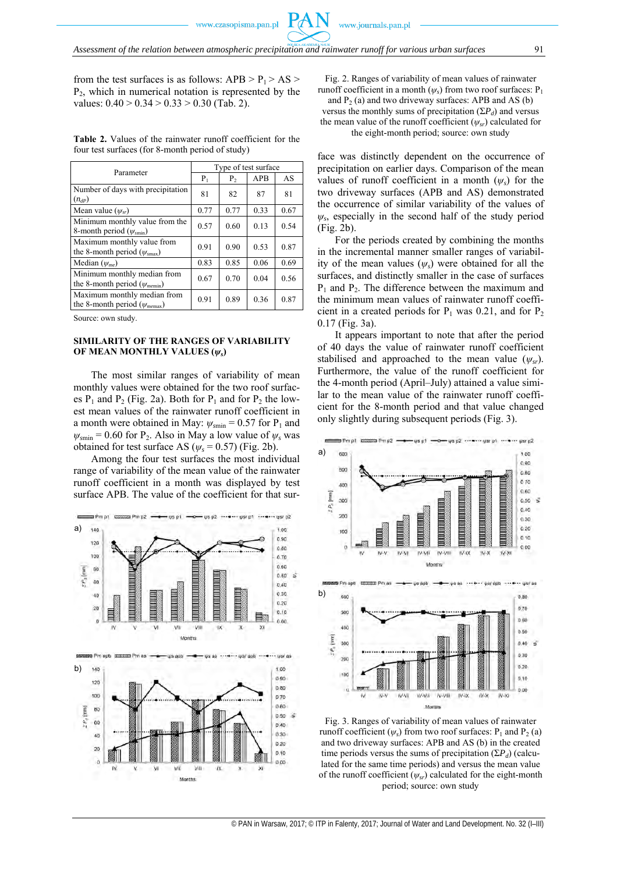from the test surfaces is as follows:  $APB > P<sub>1</sub> > AS >$  $P_2$ , which in numerical notation is represented by the values:  $0.40 > 0.34 > 0.33 > 0.30$  (Tab. 2).

**Table 2.** Values of the rainwater runoff coefficient for the four test surfaces (for 8-month period of study)

|                                                                             | Type of test surface |                |            |      |  |
|-----------------------------------------------------------------------------|----------------------|----------------|------------|------|--|
| Parameter                                                                   | $P_1$                | P <sub>2</sub> | <b>APB</b> | AS   |  |
| Number of days with precipitation<br>$(n_{dP})$                             | 81                   | 82             | 87         | 81   |  |
| Mean value $(\psi_{sr})$                                                    | 0.77                 | 0.77           | 0.33       | 0.67 |  |
| Minimum monthly value from the<br>8-month period $(\psi_{\text{smin}})$     | 0.57                 | 0.60           | 0.13       | 0.54 |  |
| Maximum monthly value from<br>the 8-month period ( $\psi_{\text{smax}}$ )   | 0.91                 | 0.90           | 0.53       | 0.87 |  |
| Median $(\psi_{me})$                                                        | 0.83                 | 0.85           | 0.06       | 0.69 |  |
| Minimum monthly median from<br>the 8-month period ( $\psi_{\text{memin}}$ ) | 0.67                 | 0.70           | 0.04       | 0.56 |  |
| Maximum monthly median from<br>the 8-month period ( $\psi_{memax}$ )        | 0.91                 | 0.89           | 0.36       | 0.87 |  |

Source: own study.

#### **SIMILARITY OF THE RANGES OF VARIABILITY OF MEAN MONTHLY VALUES (***ψs***)**

The most similar ranges of variability of mean monthly values were obtained for the two roof surfaces  $P_1$  and  $P_2$  (Fig. 2a). Both for  $P_1$  and for  $P_2$  the lowest mean values of the rainwater runoff coefficient in a month were obtained in May:  $\psi_{\text{smin}} = 0.57$  for P<sub>1</sub> and  $\psi_{\text{smin}} = 0.60$  for P<sub>2</sub>. Also in May a low value of  $\psi_s$  was obtained for test surface AS ( $\psi_s$  = 0.57) (Fig. 2b).

Among the four test surfaces the most individual range of variability of the mean value of the rainwater runoff coefficient in a month was displayed by test surface APB. The value of the coefficient for that sur-



Fig. 2. Ranges of variability of mean values of rainwater runoff coefficient in a month  $(\psi_s)$  from two roof surfaces:  $P_1$ 

and  $P_2$  (a) and two driveway surfaces: APB and AS (b) versus the monthly sums of precipitation  $(\Sigma P_d)$  and versus the mean value of the runoff coefficient ( $\psi_{sr}$ ) calculated for

the eight-month period; source: own study

face was distinctly dependent on the occurrence of precipitation on earlier days. Comparison of the mean values of runoff coefficient in a month (*ψs*) for the two driveway surfaces (APB and AS) demonstrated the occurrence of similar variability of the values of  $\psi_s$ , especially in the second half of the study period (Fig. 2b).

For the periods created by combining the months in the incremental manner smaller ranges of variability of the mean values (*ψs*) were obtained for all the surfaces, and distinctly smaller in the case of surfaces  $P_1$  and  $P_2$ . The difference between the maximum and the minimum mean values of rainwater runoff coefficient in a created periods for  $P_1$  was 0.21, and for  $P_2$ 0.17 (Fig. 3a).

It appears important to note that after the period of 40 days the value of rainwater runoff coefficient stabilised and approached to the mean value  $(\psi_{sr})$ . Furthermore, the value of the runoff coefficient for the 4-month period (April–July) attained a value similar to the mean value of the rainwater runoff coefficient for the 8-month period and that value changed only slightly during subsequent periods (Fig. 3).



Fig. 3. Ranges of variability of mean values of rainwater runoff coefficient  $(\psi_s)$  from two roof surfaces:  $P_1$  and  $P_2$  (a) and two driveway surfaces: APB and AS (b) in the created time periods versus the sums of precipitation  $(\Sigma P_d)$  (calculated for the same time periods) and versus the mean value of the runoff coefficient (*ψsr*) calculated for the eight-month period; source: own study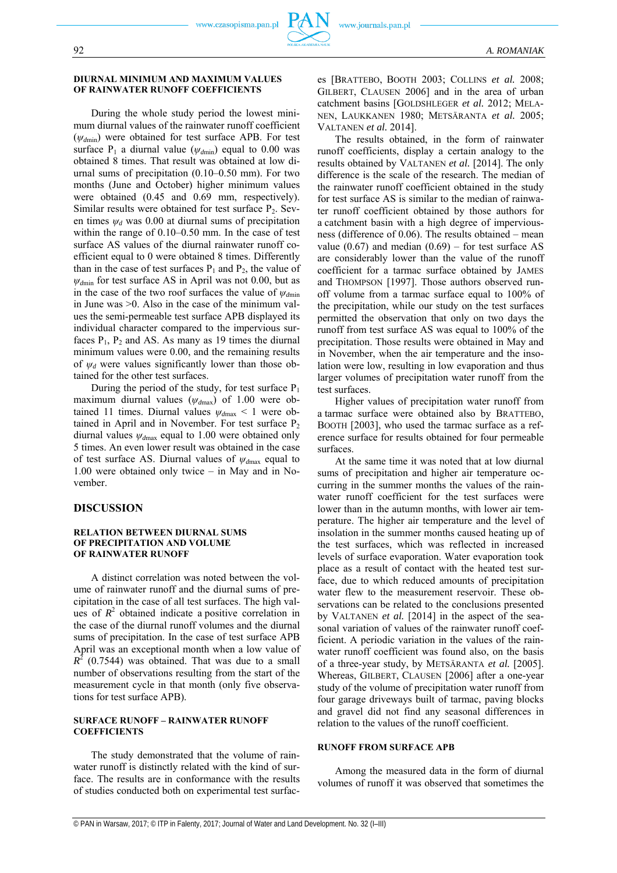#### **DIURNAL MINIMUM AND MAXIMUM VALUES OF RAINWATER RUNOFF COEFFICIENTS**

During the whole study period the lowest minimum diurnal values of the rainwater runoff coefficient (*ψd*min) were obtained for test surface APB. For test surface  $P_1$  a diurnal value ( $\psi_{dmin}$ ) equal to 0.00 was obtained 8 times. That result was obtained at low diurnal sums of precipitation (0.10–0.50 mm). For two months (June and October) higher minimum values were obtained (0.45 and 0.69 mm, respectively). Similar results were obtained for test surface  $P_2$ . Seven times  $\psi_d$  was 0.00 at diurnal sums of precipitation within the range of 0.10–0.50 mm. In the case of test surface AS values of the diurnal rainwater runoff coefficient equal to 0 were obtained 8 times. Differently than in the case of test surfaces  $P_1$  and  $P_2$ , the value of  $ψ$ <sub>dmin</sub> for test surface AS in April was not 0.00, but as in the case of the two roof surfaces the value of  $\psi_{dmin}$ in June was  $>0$ . Also in the case of the minimum values the semi-permeable test surface APB displayed its individual character compared to the impervious surfaces  $P_1$ ,  $P_2$  and AS. As many as 19 times the diurnal minimum values were 0.00, and the remaining results of *ψd* were values significantly lower than those obtained for the other test surfaces.

During the period of the study, for test surface  $P_1$ maximum diurnal values ( $ψ$ <sub>*d*max</sub>) of 1.00 were obtained 11 times. Diurnal values  $\psi_{dmax}$  < 1 were obtained in April and in November. For test surface  $P_2$ diurnal values  $\psi_{dmax}$  equal to 1.00 were obtained only 5 times. An even lower result was obtained in the case of test surface AS. Diurnal values of *ψd*max equal to 1.00 were obtained only twice – in May and in November.

#### **DISCUSSION**

#### **RELATION BETWEEN DIURNAL SUMS OF PRECIPITATION AND VOLUME OF RAINWATER RUNOFF**

A distinct correlation was noted between the volume of rainwater runoff and the diurnal sums of precipitation in the case of all test surfaces. The high values of  $R^2$  obtained indicate a positive correlation in the case of the diurnal runoff volumes and the diurnal sums of precipitation. In the case of test surface APB April was an exceptional month when a low value of  $R^2$  (0.7544) was obtained. That was due to a small number of observations resulting from the start of the measurement cycle in that month (only five observations for test surface APB).

#### **SURFACE RUNOFF – RAINWATER RUNOFF COEFFICIENTS**

The study demonstrated that the volume of rainwater runoff is distinctly related with the kind of surface. The results are in conformance with the results of studies conducted both on experimental test surfaces [BRATTEBO, BOOTH 2003; COLLINS *et al.* 2008; GILBERT, CLAUSEN 2006] and in the area of urban catchment basins [GOLDSHLEGER *et al.* 2012; MELA-NEN, LAUKKANEN 1980; METSÄRANTA *et al.* 2005; VALTANEN *et al.* 2014].

The results obtained, in the form of rainwater runoff coefficients, display a certain analogy to the results obtained by VALTANEN *et al.* [2014]. The only difference is the scale of the research. The median of the rainwater runoff coefficient obtained in the study for test surface AS is similar to the median of rainwater runoff coefficient obtained by those authors for a catchment basin with a high degree of imperviousness (difference of 0.06). The results obtained – mean value (0.67) and median  $(0.69)$  – for test surface AS are considerably lower than the value of the runoff coefficient for a tarmac surface obtained by JAMES and THOMPSON [1997]. Those authors observed runoff volume from a tarmac surface equal to 100% of the precipitation, while our study on the test surfaces permitted the observation that only on two days the runoff from test surface AS was equal to 100% of the precipitation. Those results were obtained in May and in November, when the air temperature and the insolation were low, resulting in low evaporation and thus larger volumes of precipitation water runoff from the test surfaces.

Higher values of precipitation water runoff from a tarmac surface were obtained also by BRATTEBO, BOOTH [2003], who used the tarmac surface as a reference surface for results obtained for four permeable surfaces.

At the same time it was noted that at low diurnal sums of precipitation and higher air temperature occurring in the summer months the values of the rainwater runoff coefficient for the test surfaces were lower than in the autumn months, with lower air temperature. The higher air temperature and the level of insolation in the summer months caused heating up of the test surfaces, which was reflected in increased levels of surface evaporation. Water evaporation took place as a result of contact with the heated test surface, due to which reduced amounts of precipitation water flew to the measurement reservoir. These observations can be related to the conclusions presented by VALTANEN *et al.* [2014] in the aspect of the seasonal variation of values of the rainwater runoff coefficient. A periodic variation in the values of the rainwater runoff coefficient was found also, on the basis of a three-year study, by METSÄRANTA *et al.* [2005]. Whereas, GILBERT, CLAUSEN [2006] after a one-year study of the volume of precipitation water runoff from four garage driveways built of tarmac, paving blocks and gravel did not find any seasonal differences in relation to the values of the runoff coefficient.

#### **RUNOFF FROM SURFACE APB**

Among the measured data in the form of diurnal volumes of runoff it was observed that sometimes the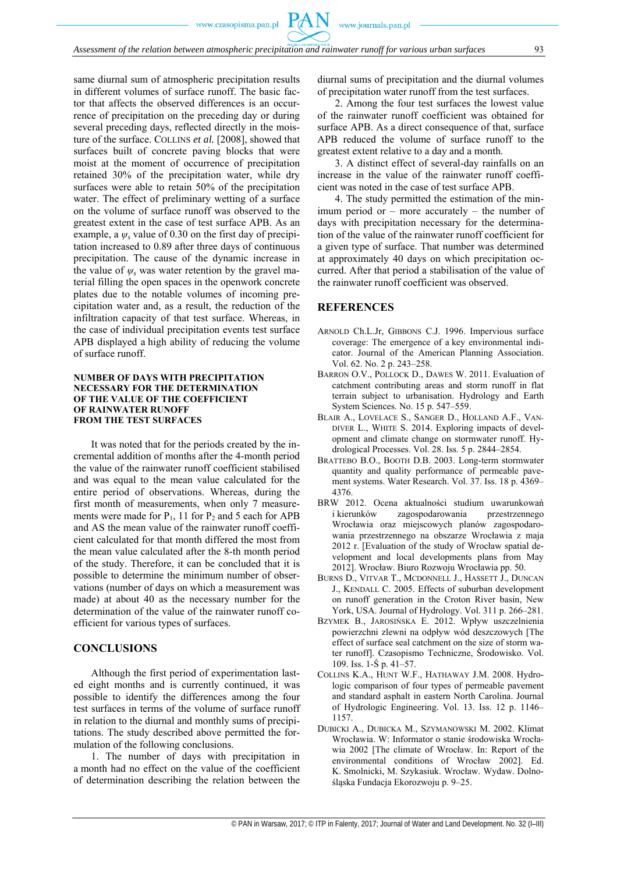same diurnal sum of atmospheric precipitation results in different volumes of surface runoff. The basic factor that affects the observed differences is an occurrence of precipitation on the preceding day or during several preceding days, reflected directly in the moisture of the surface. COLLINS *et al.* [2008], showed that surfaces built of concrete paving blocks that were moist at the moment of occurrence of precipitation retained 30% of the precipitation water, while dry surfaces were able to retain 50% of the precipitation water. The effect of preliminary wetting of a surface on the volume of surface runoff was observed to the greatest extent in the case of test surface APB. As an example, a  $\psi_s$  value of 0.30 on the first day of precipitation increased to 0.89 after three days of continuous precipitation. The cause of the dynamic increase in the value of *ψs* was water retention by the gravel material filling the open spaces in the openwork concrete plates due to the notable volumes of incoming precipitation water and, as a result, the reduction of the infiltration capacity of that test surface. Whereas, in the case of individual precipitation events test surface APB displayed a high ability of reducing the volume of surface runoff.

#### **NUMBER OF DAYS WITH PRECIPITATION NECESSARY FOR THE DETERMINATION OF THE VALUE OF THE COEFFICIENT OF RAINWATER RUNOFF FROM THE TEST SURFACES**

It was noted that for the periods created by the incremental addition of months after the 4-month period the value of the rainwater runoff coefficient stabilised and was equal to the mean value calculated for the entire period of observations. Whereas, during the first month of measurements, when only 7 measurements were made for  $P_1$ , 11 for  $P_2$  and 5 each for APB and AS the mean value of the rainwater runoff coefficient calculated for that month differed the most from the mean value calculated after the 8-th month period of the study. Therefore, it can be concluded that it is possible to determine the minimum number of observations (number of days on which a measurement was made) at about 40 as the necessary number for the determination of the value of the rainwater runoff coefficient for various types of surfaces.

#### **CONCLUSIONS**

Although the first period of experimentation lasted eight months and is currently continued, it was possible to identify the differences among the four test surfaces in terms of the volume of surface runoff in relation to the diurnal and monthly sums of precipitations. The study described above permitted the formulation of the following conclusions.

1. The number of days with precipitation in a month had no effect on the value of the coefficient of determination describing the relation between the diurnal sums of precipitation and the diurnal volumes of precipitation water runoff from the test surfaces.

2. Among the four test surfaces the lowest value of the rainwater runoff coefficient was obtained for surface APB. As a direct consequence of that, surface APB reduced the volume of surface runoff to the greatest extent relative to a day and a month.

3. A distinct effect of several-day rainfalls on an increase in the value of the rainwater runoff coefficient was noted in the case of test surface APB.

4. The study permitted the estimation of the minimum period or – more accurately – the number of days with precipitation necessary for the determination of the value of the rainwater runoff coefficient for a given type of surface. That number was determined at approximately 40 days on which precipitation occurred. After that period a stabilisation of the value of the rainwater runoff coefficient was observed.

#### **REFERENCES**

- ARNOLD Ch.L.Jr, GIBBONS C.J. 1996. Impervious surface coverage: The emergence of a key environmental indicator. Journal of the American Planning Association. Vol. 62. No. 2 p. 243–258.
- BARRON O.V., POLLOCK D., DAWES W. 2011. Evaluation of catchment contributing areas and storm runoff in flat terrain subject to urbanisation. Hydrology and Earth System Sciences. No. 15 p. 547–559.
- BLAIR A., LOVELACE S., SANGER D., HOLLAND A.F., VAN-DIVER L., WHITE S. 2014. Exploring impacts of development and climate change on stormwater runoff. Hydrological Processes. Vol. 28. Iss. 5 p. 2844–2854.
- BRATTEBO B.O., BOOTH D.B. 2003. Long-term stormwater quantity and quality performance of permeable pavement systems. Water Research. Vol. 37. Iss. 18 p. 4369– 4376.
- BRW 2012. Ocena aktualności studium uwarunkowań i kierunków zagospodarowania przestrzennego Wrocławia oraz miejscowych planów zagospodarowania przestrzennego na obszarze Wrocławia z maja 2012 r. [Evaluation of the study of Wrocław spatial development and local developments plans from May 2012]. Wrocław. Biuro Rozwoju Wrocławia pp. 50.
- BURNS D., VITVAR T., MCDONNELL J., HASSETT J., DUNCAN J., KENDALL C. 2005. Effects of suburban development on runoff generation in the Croton River basin, New York, USA. Journal of Hydrology. Vol. 311 p. 266–281.
- BZYMEK B., JAROSIŃSKA E. 2012. Wpływ uszczelnienia powierzchni zlewni na odpływ wód deszczowych [The effect of surface seal catchment on the size of storm water runoff]. Czasopismo Techniczne, Środowisko. Vol. 109. Iss. 1-Ś p. 41–57.
- COLLINS K.A., HUNT W.F., HATHAWAY J.M. 2008. Hydrologic comparison of four types of permeable pavement and standard asphalt in eastern North Carolina. Journal of Hydrologic Engineering. Vol. 13. Iss. 12 p. 1146– 1157.
- DUBICKI A., DUBICKA M., SZYMANOWSKI M. 2002. Klimat Wrocławia. W: Informator o stanie środowiska Wrocławia 2002 [The climate of Wrocław. In: Report of the environmental conditions of Wrocław 2002]. Ed. K. Smolnicki, M. Szykasiuk. Wrocław. Wydaw. Dolnośląska Fundacja Ekorozwoju p. 9–25.